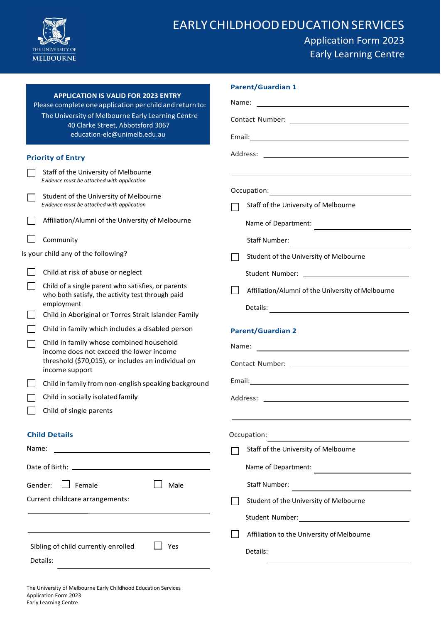

# EARLYCHILDHOODEDUCATIONSERVICES

## Application Form 2023 Early Learning Centre

|                                                                                                        | <b>Parent/Guardian 1</b>                                                                                                                                                                                                       |  |  |
|--------------------------------------------------------------------------------------------------------|--------------------------------------------------------------------------------------------------------------------------------------------------------------------------------------------------------------------------------|--|--|
| <b>APPLICATION IS VALID FOR 2023 ENTRY</b><br>Please complete one application per child and return to: | Name:<br><u> 1980 - John Stein, Amerikaansk politiker (</u>                                                                                                                                                                    |  |  |
| The University of Melbourne Early Learning Centre<br>40 Clarke Street, Abbotsford 3067                 |                                                                                                                                                                                                                                |  |  |
| education-elc@unimelb.edu.au                                                                           |                                                                                                                                                                                                                                |  |  |
| <b>Priority of Entry</b>                                                                               |                                                                                                                                                                                                                                |  |  |
| Staff of the University of Melbourne<br>Evidence must be attached with application                     |                                                                                                                                                                                                                                |  |  |
| Student of the University of Melbourne                                                                 | Occupation:<br><u> 1989 - Andrea State Barbara, politik e</u> ta eta aldera                                                                                                                                                    |  |  |
| Evidence must be attached with application                                                             | Staff of the University of Melbourne                                                                                                                                                                                           |  |  |
| Affiliation/Alumni of the University of Melbourne                                                      | Name of Department:                                                                                                                                                                                                            |  |  |
| Community                                                                                              | Staff Number:<br><u> 1989 - Johann Stein, mars an deus Amerikaansk kommunister (</u>                                                                                                                                           |  |  |
| Is your child any of the following?                                                                    | Student of the University of Melbourne                                                                                                                                                                                         |  |  |
| Child at risk of abuse or neglect                                                                      |                                                                                                                                                                                                                                |  |  |
| Child of a single parent who satisfies, or parents<br>who both satisfy, the activity test through paid | Affiliation/Alumni of the University of Melbourne                                                                                                                                                                              |  |  |
| employment                                                                                             |                                                                                                                                                                                                                                |  |  |
| Child in Aboriginal or Torres Strait Islander Family                                                   |                                                                                                                                                                                                                                |  |  |
| Child in family which includes a disabled person                                                       | <b>Parent/Guardian 2</b>                                                                                                                                                                                                       |  |  |
| Child in family whose combined household<br>income does not exceed the lower income                    |                                                                                                                                                                                                                                |  |  |
| threshold (\$70,015), or includes an individual on<br>income support                                   | Contact Number: University of the Contact Number:                                                                                                                                                                              |  |  |
| Child in family from non-english speaking background                                                   |                                                                                                                                                                                                                                |  |  |
| Child in socially isolated family                                                                      | Address: Analysis and the set of the set of the set of the set of the set of the set of the set of the set of the set of the set of the set of the set of the set of the set of the set of the set of the set of the set of th |  |  |
| Child of single parents                                                                                |                                                                                                                                                                                                                                |  |  |
| <b>Child Details</b>                                                                                   | Occupation:                                                                                                                                                                                                                    |  |  |
| Name:                                                                                                  | Staff of the University of Melbourne                                                                                                                                                                                           |  |  |
|                                                                                                        | Name of Department:                                                                                                                                                                                                            |  |  |
| $\Box$ Female<br>Gender:<br>Male                                                                       | <b>Staff Number:</b><br><u> Alexandria de la contenta de la contenta de la contenta de la contenta de la contenta de la contenta de la c</u>                                                                                   |  |  |
| Current childcare arrangements:                                                                        | Student of the University of Melbourne                                                                                                                                                                                         |  |  |
|                                                                                                        |                                                                                                                                                                                                                                |  |  |
|                                                                                                        | Affiliation to the University of Melbourne                                                                                                                                                                                     |  |  |
| Sibling of child currently enrolled<br>Yes                                                             | Details:                                                                                                                                                                                                                       |  |  |
| Details:                                                                                               |                                                                                                                                                                                                                                |  |  |
|                                                                                                        |                                                                                                                                                                                                                                |  |  |